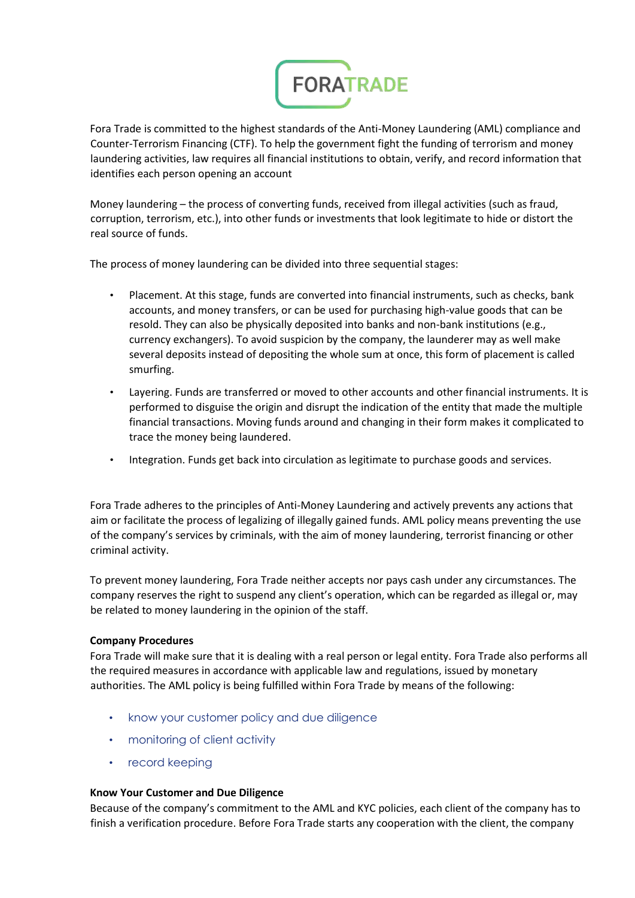

Fora Trade is committed to the highest standards of the Anti-Money Laundering (AML) compliance and Counter-Terrorism Financing (CTF). To help the government fight the funding of terrorism and money laundering activities, law requires all financial institutions to obtain, verify, and record information that identifies each person opening an account

Money laundering – the process of converting funds, received from illegal activities (such as fraud, corruption, terrorism, etc.), into other funds or investments that look legitimate to hide or distort the real source of funds.

The process of money laundering can be divided into three sequential stages:

- Placement. At this stage, funds are converted into financial instruments, such as checks, bank accounts, and money transfers, or can be used for purchasing high-value goods that can be resold. They can also be physically deposited into banks and non-bank institutions (e.g., currency exchangers). To avoid suspicion by the company, the launderer may as well make several deposits instead of depositing the whole sum at once, this form of placement is called smurfing.
- Layering. Funds are transferred or moved to other accounts and other financial instruments. It is performed to disguise the origin and disrupt the indication of the entity that made the multiple financial transactions. Moving funds around and changing in their form makes it complicated to trace the money being laundered.
- Integration. Funds get back into circulation as legitimate to purchase goods and services.

Fora Trade adheres to the principles of Anti-Money Laundering and actively prevents any actions that aim or facilitate the process of legalizing of illegally gained funds. AML policy means preventing the use of the company's services by criminals, with the aim of money laundering, terrorist financing or other criminal activity.

To prevent money laundering, Fora Trade neither accepts nor pays cash under any circumstances. The company reserves the right to suspend any client's operation, which can be regarded as illegal or, may be related to money laundering in the opinion of the staff.

### **Company Procedures**

Fora Trade will make sure that it is dealing with a real person or legal entity. Fora Trade also performs all the required measures in accordance with applicable law and regulations, issued by monetary authorities. The AML policy is being fulfilled within Fora Trade by means of the following:

- know your customer policy and due diligence
- monitoring of client activity
- record keeping

### **Know Your Customer and Due Diligence**

Because of the company's commitment to the AML and KYC policies, each client of the company has to finish a verification procedure. Before Fora Trade starts any cooperation with the client, the company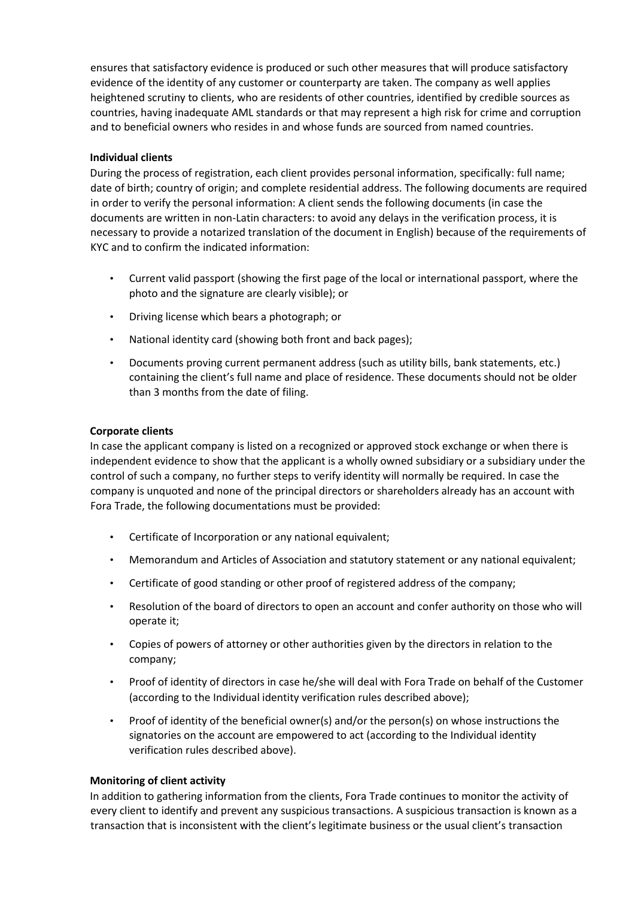ensures that satisfactory evidence is produced or such other measures that will produce satisfactory evidence of the identity of any customer or counterparty are taken. The company as well applies heightened scrutiny to clients, who are residents of other countries, identified by credible sources as countries, having inadequate AML standards or that may represent a high risk for crime and corruption and to beneficial owners who resides in and whose funds are sourced from named countries.

# **Individual clients**

During the process of registration, each client provides personal information, specifically: full name; date of birth; country of origin; and complete residential address. The following documents are required in order to verify the personal information: A client sends the following documents (in case the documents are written in non-Latin characters: to avoid any delays in the verification process, it is necessary to provide a notarized translation of the document in English) because of the requirements of KYC and to confirm the indicated information:

- Current valid passport (showing the first page of the local or international passport, where the photo and the signature are clearly visible); or
- Driving license which bears a photograph; or
- National identity card (showing both front and back pages);
- Documents proving current permanent address (such as utility bills, bank statements, etc.) containing the client's full name and place of residence. These documents should not be older than 3 months from the date of filing.

# **Corporate clients**

In case the applicant company is listed on a recognized or approved stock exchange or when there is independent evidence to show that the applicant is a wholly owned subsidiary or a subsidiary under the control of such a company, no further steps to verify identity will normally be required. In case the company is unquoted and none of the principal directors or shareholders already has an account with Fora Trade, the following documentations must be provided:

- Certificate of Incorporation or any national equivalent;
- Memorandum and Articles of Association and statutory statement or any national equivalent;
- Certificate of good standing or other proof of registered address of the company;
- Resolution of the board of directors to open an account and confer authority on those who will operate it;
- Copies of powers of attorney or other authorities given by the directors in relation to the company;
- Proof of identity of directors in case he/she will deal with Fora Trade on behalf of the Customer (according to the Individual identity verification rules described above);
- Proof of identity of the beneficial owner(s) and/or the person(s) on whose instructions the signatories on the account are empowered to act (according to the Individual identity verification rules described above).

# **Monitoring of client activity**

In addition to gathering information from the clients, Fora Trade continues to monitor the activity of every client to identify and prevent any suspicious transactions. A suspicious transaction is known as a transaction that is inconsistent with the client's legitimate business or the usual client's transaction